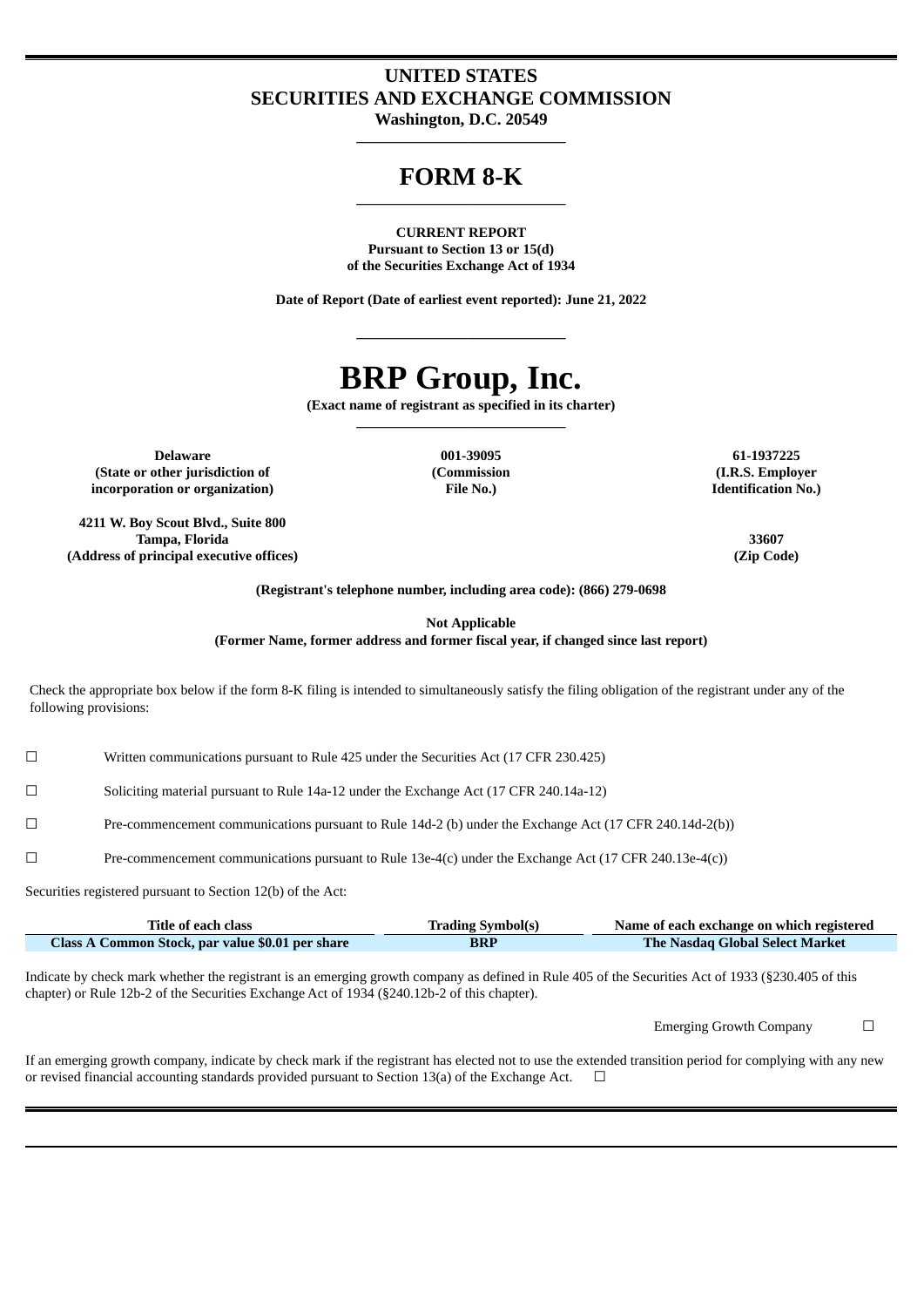# **UNITED STATES SECURITIES AND EXCHANGE COMMISSION**

**Washington, D.C. 20549 \_\_\_\_\_\_\_\_\_\_\_\_\_\_\_\_\_\_\_\_\_\_\_\_\_\_\_\_\_\_**

## **FORM 8-K \_\_\_\_\_\_\_\_\_\_\_\_\_\_\_\_\_\_\_\_\_\_\_\_\_\_\_\_\_\_**

**CURRENT REPORT Pursuant to Section 13 or 15(d) of the Securities Exchange Act of 1934**

**Date of Report (Date of earliest event reported): June 21, 2022**

**\_\_\_\_\_\_\_\_\_\_\_\_\_\_\_\_\_\_\_\_\_\_\_\_\_\_\_\_\_\_**

# **BRP Group, Inc.**

**(Exact name of registrant as specified in its charter) \_\_\_\_\_\_\_\_\_\_\_\_\_\_\_\_\_\_\_\_\_\_\_\_\_\_\_\_\_\_**

**Delaware 001-39095 61-1937225 (State or other jurisdiction of (Commission (I.R.S. Employer incorporation or organization) File No.) Identification No.)**

**4211 W. Boy Scout Blvd., Suite 800 Tampa, Florida 33607 (Address of principal executive offices) (Zip Code)**

**(Registrant's telephone number, including area code): (866) 279-0698**

**Not Applicable**

**(Former Name, former address and former fiscal year, if changed since last report)**

Check the appropriate box below if the form 8-K filing is intended to simultaneously satisfy the filing obligation of the registrant under any of the following provisions:

☐ Written communications pursuant to Rule 425 under the Securities Act (17 CFR 230.425)

☐ Soliciting material pursuant to Rule 14a-12 under the Exchange Act (17 CFR 240.14a-12)

☐ Pre-commencement communications pursuant to Rule 14d-2 (b) under the Exchange Act (17 CFR 240.14d-2(b))

☐ Pre-commencement communications pursuant to Rule 13e-4(c) under the Exchange Act (17 CFR 240.13e-4(c))

Securities registered pursuant to Section 12(b) of the Act:

| Title of each class                              | <b>Trading Symbol(s)</b> | Name of each exchange on which registered |
|--------------------------------------------------|--------------------------|-------------------------------------------|
| Class A Common Stock, par value \$0.01 per share | <b>BRP</b>               | The Nasdag Global Select Market           |

Indicate by check mark whether the registrant is an emerging growth company as defined in Rule 405 of the Securities Act of 1933 (§230.405 of this chapter) or Rule 12b-2 of the Securities Exchange Act of 1934 (§240.12b-2 of this chapter).

Emerging Growth Company  $\Box$ 

If an emerging growth company, indicate by check mark if the registrant has elected not to use the extended transition period for complying with any new or revised financial accounting standards provided pursuant to Section 13(a) of the Exchange Act.  $\Box$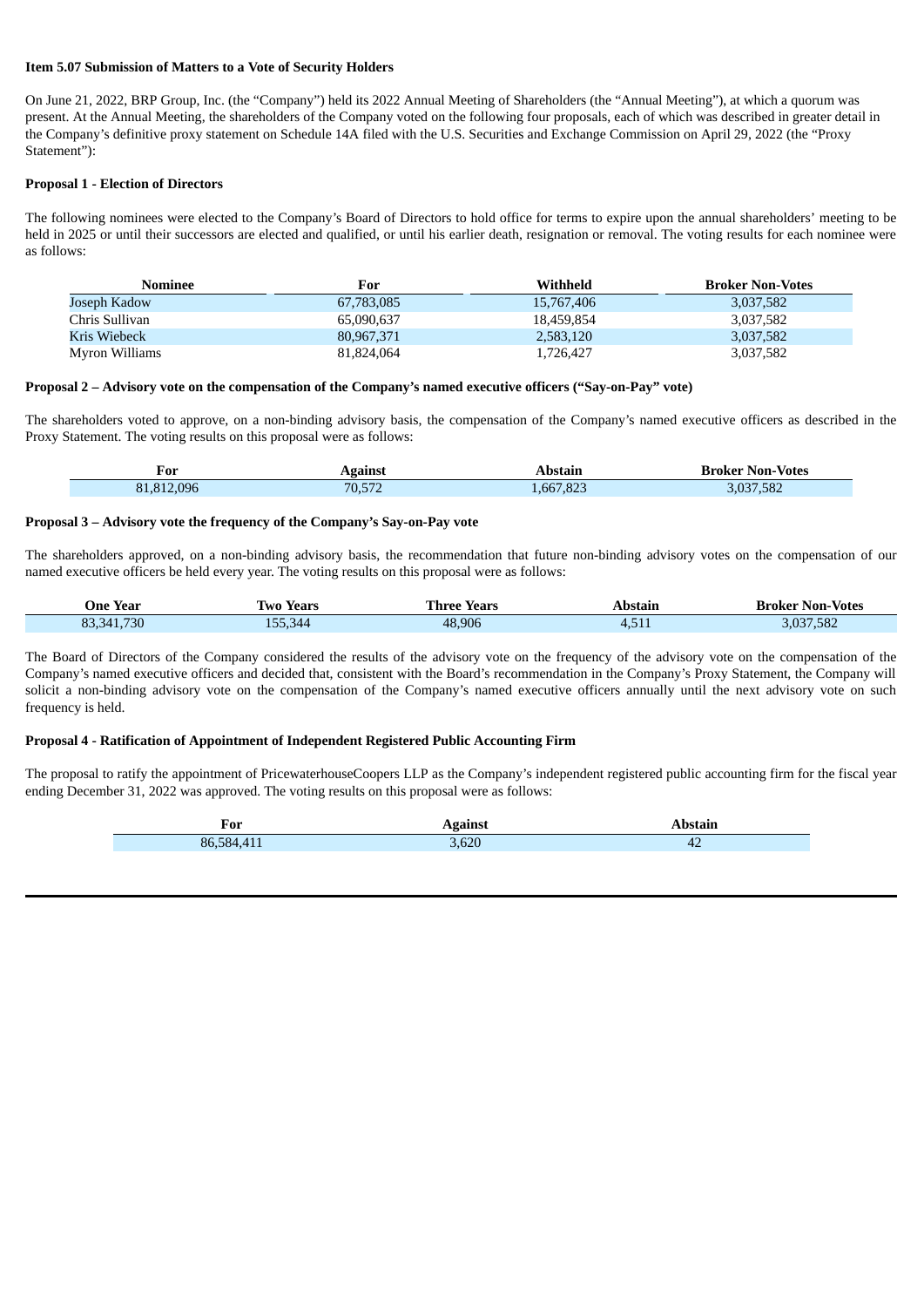#### **Item 5.07 Submission of Matters to a Vote of Security Holders**

On June 21, 2022, BRP Group, Inc. (the "Company") held its 2022 Annual Meeting of Shareholders (the "Annual Meeting"), at which a quorum was present. At the Annual Meeting, the shareholders of the Company voted on the following four proposals, each of which was described in greater detail in the Company's definitive proxy statement on Schedule 14A filed with the U.S. Securities and Exchange Commission on April 29, 2022 (the "Proxy Statement"):

#### **Proposal 1 - Election of Directors**

The following nominees were elected to the Company's Board of Directors to hold office for terms to expire upon the annual shareholders' meeting to be held in 2025 or until their successors are elected and qualified, or until his earlier death, resignation or removal. The voting results for each nominee were as follows:

| Nominee        | For        | Withheld   | <b>Broker Non-Votes</b> |
|----------------|------------|------------|-------------------------|
| Joseph Kadow   | 67,783,085 | 15,767,406 | 3,037,582               |
| Chris Sullivan | 65,090,637 | 18.459.854 | 3,037,582               |
| Kris Wiebeck   | 80,967,371 | 2,583,120  | 3,037,582               |
| Myron Williams | 81.824.064 | 1,726,427  | 3,037,582               |

#### **Proposal 2 – Advisory vote on the compensation of the Company's named executive officers ("Say-on-Pay" vote)**

The shareholders voted to approve, on a non-binding advisory basis, the compensation of the Company's named executive officers as described in the Proxy Statement. The voting results on this proposal were as follows:

| For<br>_____ | Against | Abstair   | $\blacksquare$<br>' Non-Votes<br>Broker |
|--------------|---------|-----------|-----------------------------------------|
| 81,812,096   | 70,572  | 1,667,823 | .037.582<br>3.U3/                       |

#### **Proposal 3 – Advisory vote the frequency of the Company's Say-on-Pay vote**

The shareholders approved, on a non-binding advisory basis, the recommendation that future non-binding advisory votes on the compensation of our named executive officers be held every year. The voting results on this proposal were as follows:

| One Year   | Two Years | l'hree Years | Abstain | <b>Broker Non-Votes</b> |
|------------|-----------|--------------|---------|-------------------------|
| 83,341,730 | 155,344   | 48,906       | 4,511   | 3,037,582               |

The Board of Directors of the Company considered the results of the advisory vote on the frequency of the advisory vote on the compensation of the Company's named executive officers and decided that, consistent with the Board's recommendation in the Company's Proxy Statement, the Company will solicit a non-binding advisory vote on the compensation of the Company's named executive officers annually until the next advisory vote on such frequency is held.

#### **Proposal 4 - Ratification of Appointment of Independent Registered Public Accounting Firm**

The proposal to ratify the appointment of PricewaterhouseCoopers LLP as the Company's independent registered public accounting firm for the fiscal year ending December 31, 2022 was approved. The voting results on this proposal were as follows:

| For    | - - |    |
|--------|-----|----|
| 86.584 | 620 | 42 |
|        |     |    |